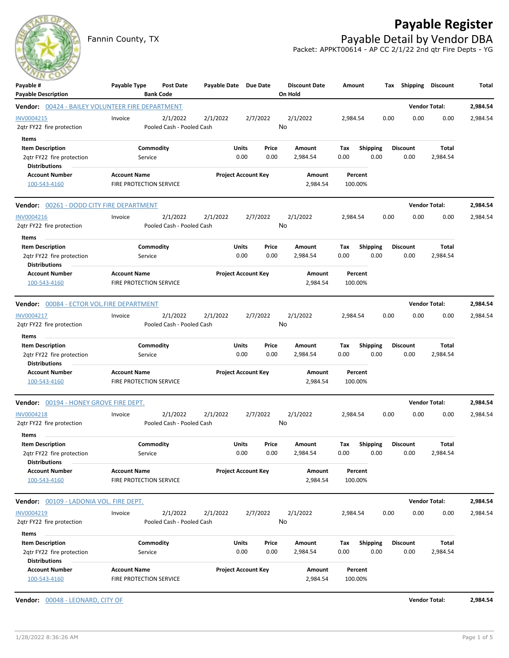## **Payable Register**

Fannin County, TX **Payable Detail by Vendor DBA** Packet: APPKT00614 - AP CC 2/1/22 2nd qtr Fire Depts - YG



| Payable #                                                                      | Payable Type        | Post Date                             | Payable Date Due Date |                            |       | <b>Discount Date</b> | Amount   |                 | Tax  | Shipping        | Discount             | Total    |
|--------------------------------------------------------------------------------|---------------------|---------------------------------------|-----------------------|----------------------------|-------|----------------------|----------|-----------------|------|-----------------|----------------------|----------|
| <b>Payable Description</b><br>Vendor: 00424 - BAILEY VOLUNTEER FIRE DEPARTMENT |                     | <b>Bank Code</b>                      |                       |                            |       | On Hold              |          |                 |      |                 | <b>Vendor Total:</b> | 2,984.54 |
|                                                                                |                     |                                       |                       | 2/7/2022                   |       |                      |          |                 |      |                 |                      |          |
| INV0004215<br>2qtr FY22 fire protection                                        | Invoice             | 2/1/2022<br>Pooled Cash - Pooled Cash | 2/1/2022              |                            |       | 2/1/2022<br>No       | 2,984.54 |                 | 0.00 | 0.00            | 0.00                 | 2,984.54 |
| Items                                                                          |                     |                                       |                       |                            |       |                      |          |                 |      |                 |                      |          |
| <b>Item Description</b>                                                        |                     | Commodity                             |                       | Units                      | Price | Amount               | Tax      | <b>Shipping</b> |      | <b>Discount</b> | Total                |          |
| 2qtr FY22 fire protection                                                      |                     | Service                               |                       | 0.00                       | 0.00  | 2,984.54             | 0.00     | 0.00            |      | 0.00            | 2,984.54             |          |
| <b>Distributions</b>                                                           |                     |                                       |                       |                            |       |                      |          |                 |      |                 |                      |          |
| <b>Account Number</b>                                                          | <b>Account Name</b> |                                       |                       | <b>Project Account Key</b> |       | Amount               | Percent  |                 |      |                 |                      |          |
| 100-543-4160                                                                   |                     | FIRE PROTECTION SERVICE               |                       |                            |       | 2,984.54             | 100.00%  |                 |      |                 |                      |          |
| Vendor: 00261 - DODD CITY FIRE DEPARTMENT                                      |                     |                                       |                       |                            |       |                      |          |                 |      |                 | <b>Vendor Total:</b> | 2,984.54 |
| INV0004216                                                                     | Invoice             | 2/1/2022                              | 2/1/2022              | 2/7/2022                   |       | 2/1/2022             | 2,984.54 |                 | 0.00 | 0.00            | 0.00                 | 2,984.54 |
| 2qtr FY22 fire protection                                                      |                     | Pooled Cash - Pooled Cash             |                       |                            |       | No                   |          |                 |      |                 |                      |          |
| Items                                                                          |                     |                                       |                       |                            |       |                      |          |                 |      |                 |                      |          |
| <b>Item Description</b>                                                        |                     | Commodity                             |                       | Units                      | Price | Amount               | Tax      | <b>Shipping</b> |      | <b>Discount</b> | Total                |          |
| 2qtr FY22 fire protection                                                      |                     | Service                               |                       | 0.00                       | 0.00  | 2,984.54             | 0.00     | 0.00            |      | 0.00            | 2,984.54             |          |
| <b>Distributions</b>                                                           |                     |                                       |                       |                            |       |                      |          |                 |      |                 |                      |          |
| <b>Account Number</b>                                                          | <b>Account Name</b> |                                       |                       | <b>Project Account Key</b> |       | Amount               | Percent  |                 |      |                 |                      |          |
| 100-543-4160                                                                   |                     | FIRE PROTECTION SERVICE               |                       |                            |       | 2,984.54             | 100.00%  |                 |      |                 |                      |          |
| Vendor: 00084 - ECTOR VOL.FIRE DEPARTMENT                                      |                     |                                       |                       |                            |       |                      |          |                 |      |                 | <b>Vendor Total:</b> | 2,984.54 |
| INV0004217                                                                     | Invoice             | 2/1/2022                              | 2/1/2022              | 2/7/2022                   |       | 2/1/2022             | 2.984.54 |                 | 0.00 | 0.00            | 0.00                 | 2,984.54 |
| 2qtr FY22 fire protection                                                      |                     | Pooled Cash - Pooled Cash             |                       |                            |       | No                   |          |                 |      |                 |                      |          |
| Items                                                                          |                     |                                       |                       |                            |       |                      |          |                 |      |                 |                      |          |
| <b>Item Description</b>                                                        |                     | Commodity                             |                       | Units                      | Price | Amount               | Tax      | <b>Shipping</b> |      | <b>Discount</b> | Total                |          |
| 2qtr FY22 fire protection                                                      |                     | Service                               |                       | 0.00                       | 0.00  | 2,984.54             | 0.00     | 0.00            |      | 0.00            | 2,984.54             |          |
| <b>Distributions</b>                                                           |                     |                                       |                       |                            |       |                      |          |                 |      |                 |                      |          |
| <b>Account Number</b>                                                          | <b>Account Name</b> |                                       |                       | <b>Project Account Key</b> |       | Amount               | Percent  |                 |      |                 |                      |          |
| 100-543-4160                                                                   |                     | FIRE PROTECTION SERVICE               |                       |                            |       | 2,984.54             | 100.00%  |                 |      |                 |                      |          |
| Vendor: 00194 - HONEY GROVE FIRE DEPT.                                         |                     |                                       |                       |                            |       |                      |          |                 |      |                 | <b>Vendor Total:</b> | 2,984.54 |
| <b>INV0004218</b>                                                              | Invoice             | 2/1/2022                              | 2/1/2022              | 2/7/2022                   |       | 2/1/2022             | 2,984.54 |                 | 0.00 | 0.00            | 0.00                 | 2,984.54 |
| 2qtr FY22 fire protection                                                      |                     | Pooled Cash - Pooled Cash             |                       |                            |       | No                   |          |                 |      |                 |                      |          |
| Items                                                                          |                     |                                       |                       |                            |       |                      |          |                 |      |                 |                      |          |
| <b>Item Description</b>                                                        |                     | Commodity                             |                       | Units                      | Price | Amount               | Tax      | <b>Shipping</b> |      | <b>Discount</b> | Total                |          |
| 2qtr FY22 fire protection                                                      |                     | Service                               |                       | 0.00                       | 0.00  | 2,984.54             | 0.00     | 0.00            |      | 0.00            | 2,984.54             |          |
| <b>Distributions</b>                                                           |                     |                                       |                       |                            |       |                      |          |                 |      |                 |                      |          |
| <b>Account Number</b>                                                          | <b>Account Name</b> |                                       |                       | <b>Project Account Key</b> |       | Amount               | Percent  |                 |      |                 |                      |          |
| 100-543-4160                                                                   |                     | FIRE PROTECTION SERVICE               |                       |                            |       | 2,984.54             | 100.00%  |                 |      |                 |                      |          |
| Vendor: 00109 - LADONIA VOL. FIRE DEPT.                                        |                     |                                       |                       |                            |       |                      |          |                 |      |                 | <b>Vendor Total:</b> | 2,984.54 |
| INV0004219                                                                     | Invoice             | 2/1/2022                              | 2/1/2022              | 2/7/2022                   |       | 2/1/2022             | 2,984.54 |                 | 0.00 | 0.00            | 0.00                 | 2,984.54 |
| 2qtr FY22 fire protection                                                      |                     | Pooled Cash - Pooled Cash             |                       |                            |       | No                   |          |                 |      |                 |                      |          |
| Items                                                                          |                     |                                       |                       |                            |       |                      |          |                 |      |                 |                      |          |
| <b>Item Description</b>                                                        |                     | Commodity                             |                       | Units                      | Price | Amount               | Tax      | Shipping        |      | <b>Discount</b> | Total                |          |
| 2qtr FY22 fire protection                                                      |                     | Service                               |                       | 0.00                       | 0.00  | 2,984.54             | 0.00     | 0.00            |      | 0.00            | 2,984.54             |          |
| <b>Distributions</b>                                                           |                     |                                       |                       |                            |       |                      |          |                 |      |                 |                      |          |
| <b>Account Number</b>                                                          | <b>Account Name</b> |                                       |                       | <b>Project Account Key</b> |       | Amount               | Percent  |                 |      |                 |                      |          |
| 100-543-4160                                                                   |                     | FIRE PROTECTION SERVICE               |                       |                            |       | 2,984.54             | 100.00%  |                 |      |                 |                      |          |
| Vendor: 00048 - LEONARD, CITY OF                                               |                     |                                       |                       |                            |       |                      |          |                 |      |                 | <b>Vendor Total:</b> | 2,984.54 |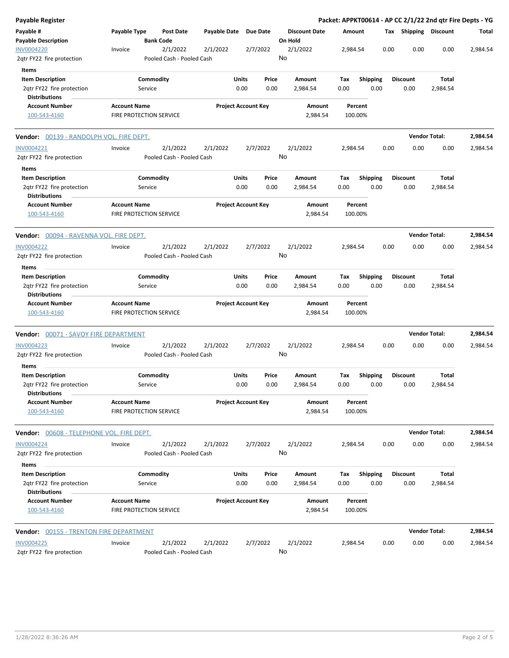| Payable Register                                                             |                     |                                       |              |                            |                 |                                 |                    |                         |      |                         | Packet: APPKT00614 - AP CC 2/1/22 2nd gtr Fire Depts - YG |          |
|------------------------------------------------------------------------------|---------------------|---------------------------------------|--------------|----------------------------|-----------------|---------------------------------|--------------------|-------------------------|------|-------------------------|-----------------------------------------------------------|----------|
| Payable #<br><b>Payable Description</b>                                      | Payable Type        | <b>Post Date</b><br><b>Bank Code</b>  | Payable Date |                            | <b>Due Date</b> | <b>Discount Date</b><br>On Hold | Amount             |                         |      | Tax Shipping Discount   |                                                           | Total    |
| <b>INV0004220</b><br>2qtr FY22 fire protection                               | Invoice             | 2/1/2022<br>Pooled Cash - Pooled Cash | 2/1/2022     |                            | 2/7/2022        | 2/1/2022<br>No                  | 2,984.54           |                         | 0.00 | 0.00                    | 0.00                                                      | 2,984.54 |
| Items                                                                        |                     |                                       |              |                            |                 |                                 |                    |                         |      |                         |                                                           |          |
| <b>Item Description</b>                                                      |                     | Commodity                             |              | Units                      | Price           | Amount                          | Tax                | <b>Shipping</b>         |      | Discount                | Total                                                     |          |
| 2qtr FY22 fire protection<br><b>Distributions</b>                            |                     | Service                               |              | 0.00                       | 0.00            | 2,984.54                        | 0.00               | 0.00                    |      | 0.00                    | 2,984.54                                                  |          |
| <b>Account Number</b><br>100-543-4160                                        | <b>Account Name</b> | FIRE PROTECTION SERVICE               |              | <b>Project Account Key</b> |                 | Amount<br>2,984.54              | Percent<br>100.00% |                         |      |                         |                                                           |          |
| Vendor: 00139 - RANDOLPH VOL. FIRE DEPT.                                     |                     |                                       |              |                            |                 |                                 |                    |                         |      |                         | <b>Vendor Total:</b>                                      | 2,984.54 |
| INV0004221                                                                   | Invoice             | 2/1/2022                              | 2/1/2022     |                            | 2/7/2022        | 2/1/2022                        | 2,984.54           |                         | 0.00 | 0.00                    | 0.00                                                      | 2,984.54 |
| 2qtr FY22 fire protection<br>Items                                           |                     | Pooled Cash - Pooled Cash             |              |                            |                 | No                              |                    |                         |      |                         |                                                           |          |
| <b>Item Description</b>                                                      |                     | Commodity                             |              | Units                      | Price           | Amount                          | Tax                | <b>Shipping</b>         |      | <b>Discount</b>         | Total                                                     |          |
| 2qtr FY22 fire protection<br><b>Distributions</b>                            |                     | Service                               |              | 0.00                       | 0.00            | 2,984.54                        | 0.00               | 0.00                    |      | 0.00                    | 2,984.54                                                  |          |
| <b>Account Number</b><br>100-543-4160                                        | <b>Account Name</b> | FIRE PROTECTION SERVICE               |              | <b>Project Account Key</b> |                 | Amount<br>2,984.54              | Percent<br>100.00% |                         |      |                         |                                                           |          |
| <b>Vendor:</b> 00094 - RAVENNA VOL. FIRE DEPT.                               |                     |                                       |              |                            |                 |                                 |                    |                         |      |                         | <b>Vendor Total:</b>                                      | 2,984.54 |
| <b>INV0004222</b>                                                            | Invoice             | 2/1/2022                              | 2/1/2022     |                            | 2/7/2022        | 2/1/2022                        | 2,984.54           |                         | 0.00 | 0.00                    | 0.00                                                      | 2,984.54 |
| 2qtr FY22 fire protection                                                    |                     | Pooled Cash - Pooled Cash             |              |                            |                 | No                              |                    |                         |      |                         |                                                           |          |
| Items<br><b>Item Description</b>                                             |                     | Commodity                             |              | Units                      | Price           | Amount                          |                    |                         |      | <b>Discount</b>         | Total                                                     |          |
| 2qtr FY22 fire protection<br><b>Distributions</b>                            |                     | Service                               |              | 0.00                       | 0.00            | 2,984.54                        | Tax<br>0.00        | <b>Shipping</b><br>0.00 |      | 0.00                    | 2,984.54                                                  |          |
| <b>Account Number</b><br>100-543-4160                                        | <b>Account Name</b> | FIRE PROTECTION SERVICE               |              | <b>Project Account Key</b> |                 | Amount<br>2,984.54              | Percent<br>100.00% |                         |      |                         |                                                           |          |
| Vendor: 00071 - SAVOY FIRE DEPARTMENT                                        |                     |                                       |              |                            |                 |                                 |                    |                         |      |                         | <b>Vendor Total:</b>                                      | 2,984.54 |
| <b>INV0004223</b><br>2qtr FY22 fire protection                               | Invoice             | 2/1/2022<br>Pooled Cash - Pooled Cash | 2/1/2022     |                            | 2/7/2022        | 2/1/2022<br>No                  | 2,984.54           |                         | 0.00 | 0.00                    | 0.00                                                      | 2,984.54 |
| Items<br><b>Item Description</b>                                             |                     | Commodity                             |              | Units                      | Price           | Amount                          | Tax                | <b>Shipping</b>         |      | <b>Discount</b>         | Total                                                     |          |
| 2qtr FY22 fire protection<br><b>Distributions</b>                            |                     | Service                               |              | 0.00                       | 0.00            | 2,984.54                        | 0.00               | 0.00                    |      | 0.00                    | 2,984.54                                                  |          |
| <b>Account Number</b><br>100-543-4160                                        | <b>Account Name</b> | FIRE PROTECTION SERVICE               |              | <b>Project Account Key</b> |                 | Amount<br>2,984.54              | Percent<br>100.00% |                         |      |                         |                                                           |          |
| Vendor: 00608 - TELEPHONE VOL. FIRE DEPT.                                    |                     |                                       |              |                            |                 |                                 |                    |                         |      |                         | <b>Vendor Total:</b>                                      | 2,984.54 |
| <b>INV0004224</b><br>2qtr FY22 fire protection                               | Invoice             | 2/1/2022<br>Pooled Cash - Pooled Cash | 2/1/2022     |                            | 2/7/2022        | 2/1/2022<br>No                  | 2,984.54           |                         | 0.00 | 0.00                    | 0.00                                                      | 2,984.54 |
| Items                                                                        |                     |                                       |              |                            |                 |                                 |                    |                         |      |                         |                                                           |          |
| <b>Item Description</b><br>2qtr FY22 fire protection<br><b>Distributions</b> |                     | Commodity<br>Service                  |              | Units<br>0.00              | Price<br>0.00   | Amount<br>2,984.54              | Tax<br>0.00        | <b>Shipping</b><br>0.00 |      | <b>Discount</b><br>0.00 | Total<br>2,984.54                                         |          |
| <b>Account Number</b><br>100-543-4160                                        | <b>Account Name</b> | FIRE PROTECTION SERVICE               |              | <b>Project Account Key</b> |                 | Amount<br>2,984.54              | Percent<br>100.00% |                         |      |                         |                                                           |          |
|                                                                              |                     |                                       |              |                            |                 |                                 |                    |                         |      |                         | <b>Vendor Total:</b>                                      | 2,984.54 |
| INV0004225<br>2qtr FY22 fire protection                                      | Invoice             | 2/1/2022<br>Pooled Cash - Pooled Cash | 2/1/2022     |                            | 2/7/2022        | 2/1/2022<br>No                  | 2,984.54           |                         | 0.00 | 0.00                    | 0.00                                                      | 2,984.54 |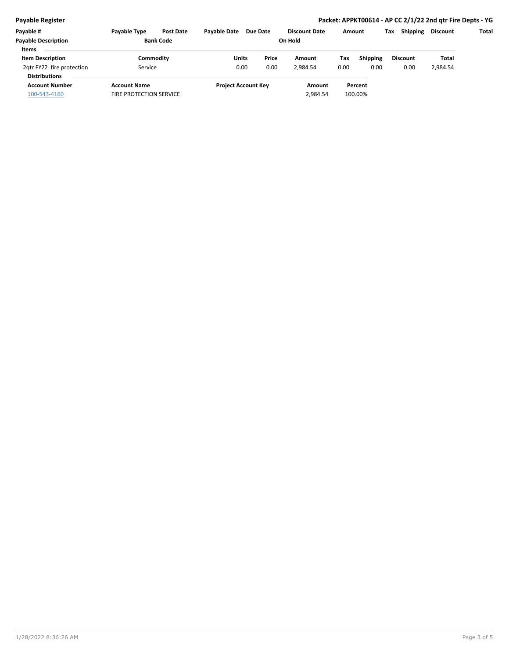## **Payable Register Packet: APPKT00614 - AP CC 2/1/22 2nd qtr Fire Depts - YG**

| Payable #                  | <b>Payable Type</b>            | <b>Post Date</b> | <b>Pavable Date</b> | Due Date                   |       | <b>Discount Date</b> | Amount |                 | Tax | <b>Shipping</b> | Discount | Total |
|----------------------------|--------------------------------|------------------|---------------------|----------------------------|-------|----------------------|--------|-----------------|-----|-----------------|----------|-------|
| <b>Payable Description</b> | <b>Bank Code</b>               |                  | On Hold             |                            |       |                      |        |                 |     |                 |          |       |
| <b>Items</b>               |                                |                  |                     |                            |       |                      |        |                 |     |                 |          |       |
| <b>Item Description</b>    | Commoditv                      |                  | Units               |                            | Price | Amount               | Tax    | <b>Shipping</b> |     | <b>Discount</b> | Total    |       |
| 2qtr FY22 fire protection  | Service                        |                  | 0.00                |                            | 0.00  | 2.984.54             | 0.00   | 0.00            |     | 0.00            | 2,984.54 |       |
| <b>Distributions</b>       |                                |                  |                     |                            |       |                      |        |                 |     |                 |          |       |
| <b>Account Number</b>      | <b>Account Name</b>            |                  |                     | <b>Project Account Key</b> |       | Amount               |        | Percent         |     |                 |          |       |
| 100-543-4160               | <b>FIRE PROTECTION SERVICE</b> |                  |                     |                            |       | 2,984.54             |        | 100.00%         |     |                 |          |       |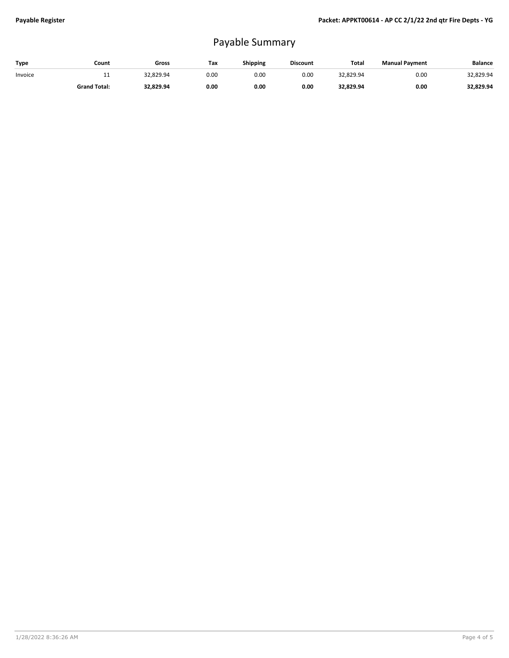## Payable Summary

| Type    | Count               | Gross     | Tax  | Shipping | <b>Discount</b> | <b>Total</b> | <b>Manual Payment</b> | <b>Balance</b> |
|---------|---------------------|-----------|------|----------|-----------------|--------------|-----------------------|----------------|
| Invoice | . .                 | 32.829.94 | 0.00 | 0.OC     | 0.00            | 32,829.94    | 0.00                  | 32,829.94      |
|         | <b>Grand Total:</b> | 32,829.94 | 0.00 | 0.00     | 0.00            | 32,829.94    | 0.00                  | 32,829.94      |